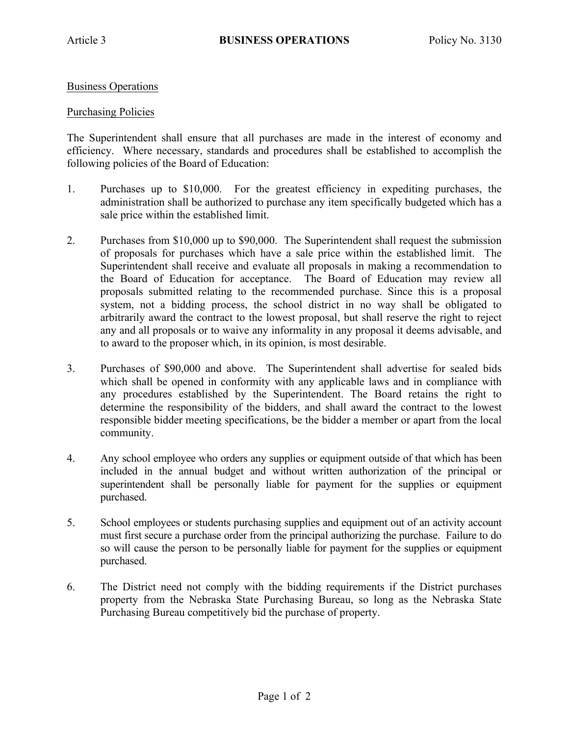## Business Operations

## Purchasing Policies

The Superintendent shall ensure that all purchases are made in the interest of economy and efficiency. Where necessary, standards and procedures shall be established to accomplish the following policies of the Board of Education:

- 1. Purchases up to \$10,000. For the greatest efficiency in expediting purchases, the administration shall be authorized to purchase any item specifically budgeted which has a sale price within the established limit.
- 2. Purchases from \$10,000 up to \$90,000. The Superintendent shall request the submission of proposals for purchases which have a sale price within the established limit. The Superintendent shall receive and evaluate all proposals in making a recommendation to the Board of Education for acceptance. The Board of Education may review all proposals submitted relating to the recommended purchase. Since this is a proposal system, not a bidding process, the school district in no way shall be obligated to arbitrarily award the contract to the lowest proposal, but shall reserve the right to reject any and all proposals or to waive any informality in any proposal it deems advisable, and to award to the proposer which, in its opinion, is most desirable.
- 3. Purchases of \$90,000 and above. The Superintendent shall advertise for sealed bids which shall be opened in conformity with any applicable laws and in compliance with any procedures established by the Superintendent. The Board retains the right to determine the responsibility of the bidders, and shall award the contract to the lowest responsible bidder meeting specifications, be the bidder a member or apart from the local community.
- 4. Any school employee who orders any supplies or equipment outside of that which has been included in the annual budget and without written authorization of the principal or superintendent shall be personally liable for payment for the supplies or equipment purchased.
- 5. School employees or students purchasing supplies and equipment out of an activity account must first secure a purchase order from the principal authorizing the purchase. Failure to do so will cause the person to be personally liable for payment for the supplies or equipment purchased.
- 6. The District need not comply with the bidding requirements if the District purchases property from the Nebraska State Purchasing Bureau, so long as the Nebraska State Purchasing Bureau competitively bid the purchase of property.